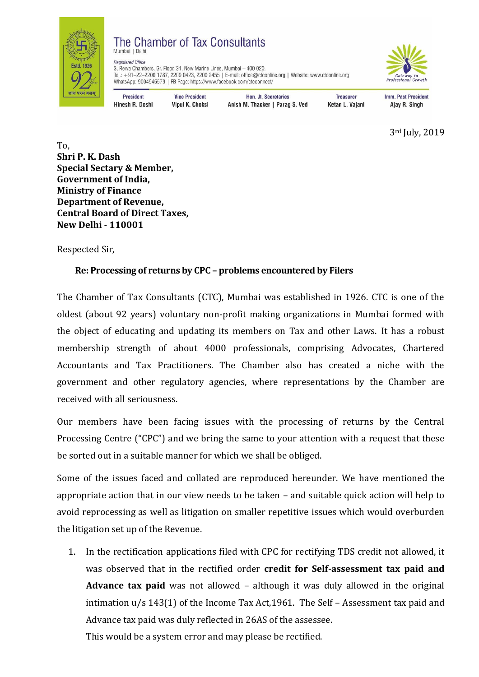

#### The Chamber of Tax Consultants Mumbai | Delhi



3, Rewa Chambers, Gr. Floor, 31, New Marine Lines, Mumbai - 400 020. Tel.: +91-22-2200 1787, 2209 0423, 2200 2455 | E-mail: office@ctconline.org | Website: www.ctconline.org WhatsApp: 9004945579 | FB Page: https://www.facebook.com/ctcconnect/

**President** Hinesh R. Doshi

**Registered Office** 

**Vice President** Vipul K. Choksi

Hon. Jt. Secretaries Anish M. Thacker | Parag S. Ved

**Treasurer** Ketan L. Vajani Imm. Past President Ajay R. Singh

3rd July, 2019

To, **Shri P. K. Dash Special Sectary & Member, Government of India, Ministry of Finance Department of Revenue, Central Board of Direct Taxes, New Delhi - 110001**

Respected Sir,

# **Re: Processing of returns by CPC – problems encountered by Filers**

The Chamber of Tax Consultants (CTC), Mumbai was established in 1926. CTC is one of the oldest (about 92 years) voluntary non-profit making organizations in Mumbai formed with the object of educating and updating its members on Tax and other Laws. It has a robust membership strength of about 4000 professionals, comprising Advocates, Chartered Accountants and Tax Practitioners. The Chamber also has created a niche with the government and other regulatory agencies, where representations by the Chamber are received with all seriousness.

Our members have been facing issues with the processing of returns by the Central Processing Centre ("CPC") and we bring the same to your attention with a request that these be sorted out in a suitable manner for which we shall be obliged.

Some of the issues faced and collated are reproduced hereunder. We have mentioned the appropriate action that in our view needs to be taken – and suitable quick action will help to avoid reprocessing as well as litigation on smaller repetitive issues which would overburden the litigation set up of the Revenue.

1. In the rectification applications filed with CPC for rectifying TDS credit not allowed, it was observed that in the rectified order **credit for Self-assessment tax paid and Advance tax paid** was not allowed – although it was duly allowed in the original intimation u/s 143(1) of the Income Tax Act,1961. The Self – Assessment tax paid and Advance tax paid was duly reflected in 26AS of the assessee. This would be a system error and may please be rectified.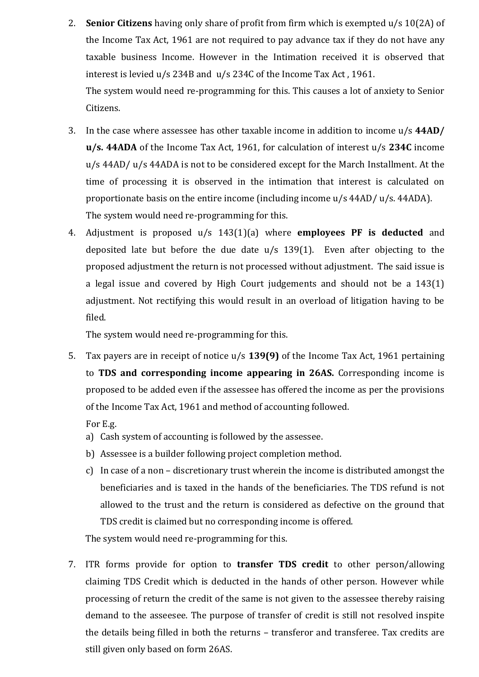2. **Senior Citizens** having only share of profit from firm which is exempted u/s 10(2A) of the Income Tax Act, 1961 are not required to pay advance tax if they do not have any taxable business Income. However in the Intimation received it is observed that interest is levied u/s 234B and u/s 234C of the Income Tax Act , 1961.

The system would need re-programming for this. This causes a lot of anxiety to Senior Citizens.

- 3. In the case where assessee has other taxable income in addition to income u/s **44AD/ u/s. 44ADA** of the Income Tax Act, 1961, for calculation of interest u/s **234C** income u/s 44AD/ u/s 44ADA is not to be considered except for the March Installment. At the time of processing it is observed in the intimation that interest is calculated on proportionate basis on the entire income (including income u/s 44AD/ u/s. 44ADA). The system would need re-programming for this.
- 4. Adjustment is proposed u/s 143(1)(a) where **employees PF is deducted** and deposited late but before the due date u/s 139(1). Even after objecting to the proposed adjustment the return is not processed without adjustment. The said issue is a legal issue and covered by High Court judgements and should not be a 143(1) adjustment. Not rectifying this would result in an overload of litigation having to be filed.

The system would need re-programming for this.

5. Tax payers are in receipt of notice u/s **139(9)** of the Income Tax Act, 1961 pertaining to **TDS and corresponding income appearing in 26AS.** Corresponding income is proposed to be added even if the assessee has offered the income as per the provisions of the Income Tax Act, 1961 and method of accounting followed.

For E.g.

- a) Cash system of accounting is followed by the assessee.
- b) Assessee is a builder following project completion method.
- c) In case of a non discretionary trust wherein the income is distributed amongst the beneficiaries and is taxed in the hands of the beneficiaries. The TDS refund is not allowed to the trust and the return is considered as defective on the ground that TDS credit is claimed but no corresponding income is offered.

The system would need re-programming for this.

7. ITR forms provide for option to **transfer TDS credit** to other person/allowing claiming TDS Credit which is deducted in the hands of other person. However while processing of return the credit of the same is not given to the assessee thereby raising demand to the asseesee. The purpose of transfer of credit is still not resolved inspite the details being filled in both the returns – transferor and transferee. Tax credits are still given only based on form 26AS.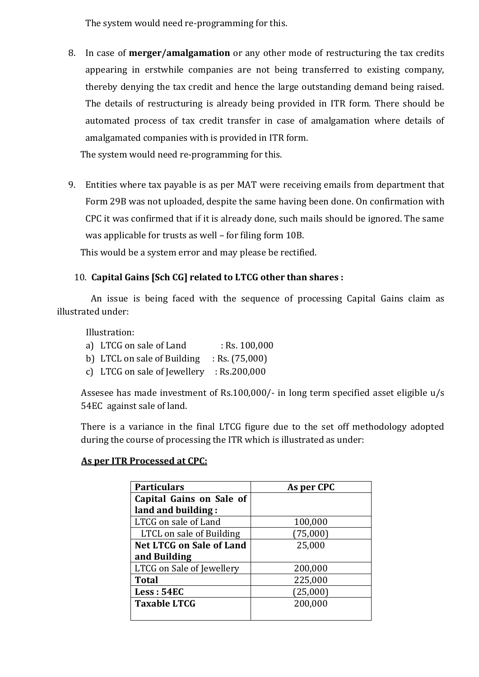The system would need re-programming for this.

8. In case of **merger/amalgamation** or any other mode of restructuring the tax credits appearing in erstwhile companies are not being transferred to existing company, thereby denying the tax credit and hence the large outstanding demand being raised. The details of restructuring is already being provided in ITR form. There should be automated process of tax credit transfer in case of amalgamation where details of amalgamated companies with is provided in ITR form.

The system would need re-programming for this.

9. Entities where tax payable is as per MAT were receiving emails from department that Form 29B was not uploaded, despite the same having been done. On confirmation with CPC it was confirmed that if it is already done, such mails should be ignored. The same was applicable for trusts as well – for filing form 10B.

This would be a system error and may please be rectified.

# 10. **Capital Gains [Sch CG] related to LTCG other than shares :**

 An issue is being faced with the sequence of processing Capital Gains claim as illustrated under:

Illustration:

- a) LTCG on sale of Land : Rs. 100,000
- b) LTCL on sale of Building : Rs. (75,000)
- c) LTCG on sale of Jewellery : Rs.200,000

Assesee has made investment of Rs.100,000/- in long term specified asset eligible u/s 54EC against sale of land.

There is a variance in the final LTCG figure due to the set off methodology adopted during the course of processing the ITR which is illustrated as under:

## **As per ITR Processed at CPC:**

| <b>Particulars</b>              | As per CPC |
|---------------------------------|------------|
| Capital Gains on Sale of        |            |
| land and building:              |            |
| LTCG on sale of Land            | 100,000    |
| LTCL on sale of Building        | (75,000)   |
| <b>Net LTCG on Sale of Land</b> | 25,000     |
| and Building                    |            |
| LTCG on Sale of Jewellery       | 200,000    |
| <b>Total</b>                    | 225,000    |
| Less: 54EC                      | (25,000)   |
| <b>Taxable LTCG</b>             | 200,000    |
|                                 |            |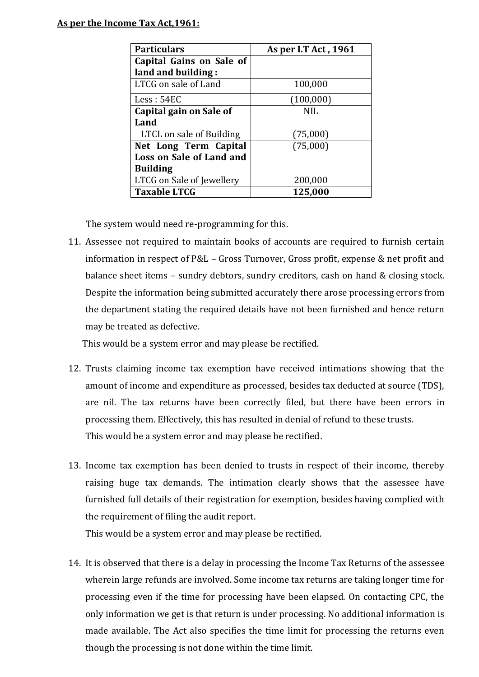### **As per the Income Tax Act,1961:**

| <b>Particulars</b>        | As per I.T Act, 1961 |  |
|---------------------------|----------------------|--|
| Capital Gains on Sale of  |                      |  |
| land and building:        |                      |  |
| LTCG on sale of Land      | 100,000              |  |
| Less: 54EC                | (100,000)            |  |
| Capital gain on Sale of   | NIL                  |  |
| Land                      |                      |  |
| LTCL on sale of Building  | (75,000)             |  |
| Net Long Term Capital     | (75,000)             |  |
| Loss on Sale of Land and  |                      |  |
| <b>Building</b>           |                      |  |
| LTCG on Sale of Jewellery | 200,000              |  |
| <b>Taxable LTCG</b>       | 125,000              |  |

The system would need re-programming for this.

11. Assessee not required to maintain books of accounts are required to furnish certain information in respect of P&L – Gross Turnover, Gross profit, expense & net profit and balance sheet items – sundry debtors, sundry creditors, cash on hand & closing stock. Despite the information being submitted accurately there arose processing errors from the department stating the required details have not been furnished and hence return may be treated as defective.

This would be a system error and may please be rectified.

- 12. Trusts claiming income tax exemption have received intimations showing that the amount of income and expenditure as processed, besides tax deducted at source (TDS), are nil. The tax returns have been correctly filed, but there have been errors in processing them. Effectively, this has resulted in denial of refund to these trusts. This would be a system error and may please be rectified.
- 13. Income tax exemption has been denied to trusts in respect of their income, thereby raising huge tax demands. The intimation clearly shows that the assessee have furnished full details of their registration for exemption, besides having complied with the requirement of filing the audit report.

This would be a system error and may please be rectified.

14. It is observed that there is a delay in processing the Income Tax Returns of the assessee wherein large refunds are involved. Some income tax returns are taking longer time for processing even if the time for processing have been elapsed. On contacting CPC, the only information we get is that return is under processing. No additional information is made available. The Act also specifies the time limit for processing the returns even though the processing is not done within the time limit.